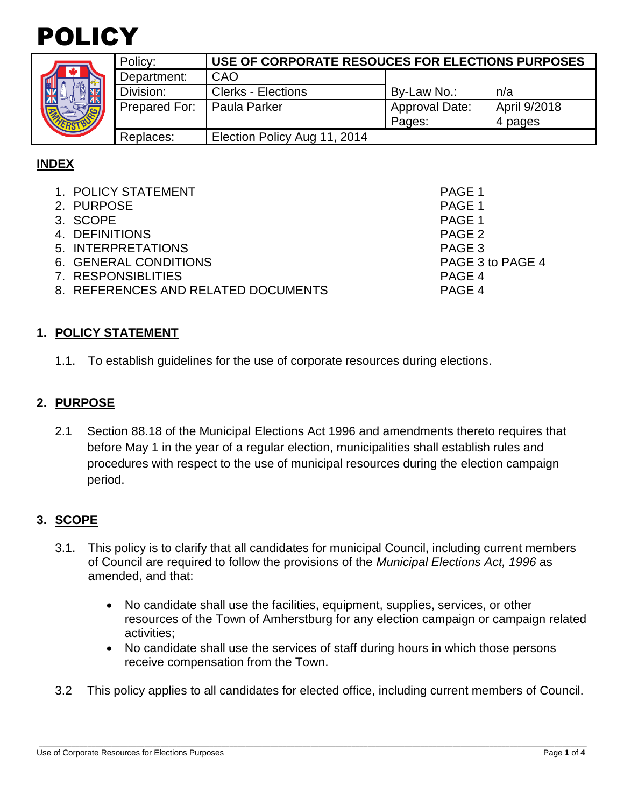



|               | Policy:       | USE OF CORPORATE RESOUCES FOR ELECTIONS PURPOSES |                       |              |  |
|---------------|---------------|--------------------------------------------------|-----------------------|--------------|--|
| $\frac{2}{3}$ | Department:   | CAO                                              |                       |              |  |
|               | Division:     | <b>Clerks - Elections</b>                        | By-Law No.:           | n/a          |  |
|               | Prepared For: | Paula Parker                                     | <b>Approval Date:</b> | April 9/2018 |  |
|               |               |                                                  | Pages:                | 4 pages      |  |
|               | Replaces:     | Election Policy Aug 11, 2014                     |                       |              |  |

# **INDEX**

| 1. POLICY STATEMENT                 | PAGE 1           |
|-------------------------------------|------------------|
| 2. PURPOSE                          | PAGE 1           |
| 3. SCOPE                            | PAGE 1           |
| 4. DEFINITIONS                      | PAGE 2           |
| 5. INTERPRETATIONS                  | PAGE 3           |
| 6. GENERAL CONDITIONS               | PAGE 3 to PAGE 4 |
| 7. RESPONSIBLITIES                  | PAGE 4           |
| 8. REFERENCES AND RELATED DOCUMENTS | PAGE 4           |
|                                     |                  |

#### **1. POLICY STATEMENT**

1.1. To establish guidelines for the use of corporate resources during elections.

## **2. PURPOSE**

2.1 Section 88.18 of the Municipal Elections Act 1996 and amendments thereto requires that before May 1 in the year of a regular election, municipalities shall establish rules and procedures with respect to the use of municipal resources during the election campaign period.

# **3. SCOPE**

- 3.1. This policy is to clarify that all candidates for municipal Council, including current members of Council are required to follow the provisions of the *Municipal Elections Act, 1996* as amended, and that:
	- No candidate shall use the facilities, equipment, supplies, services, or other resources of the Town of Amherstburg for any election campaign or campaign related activities;
	- No candidate shall use the services of staff during hours in which those persons receive compensation from the Town.
- 3.2 This policy applies to all candidates for elected office, including current members of Council.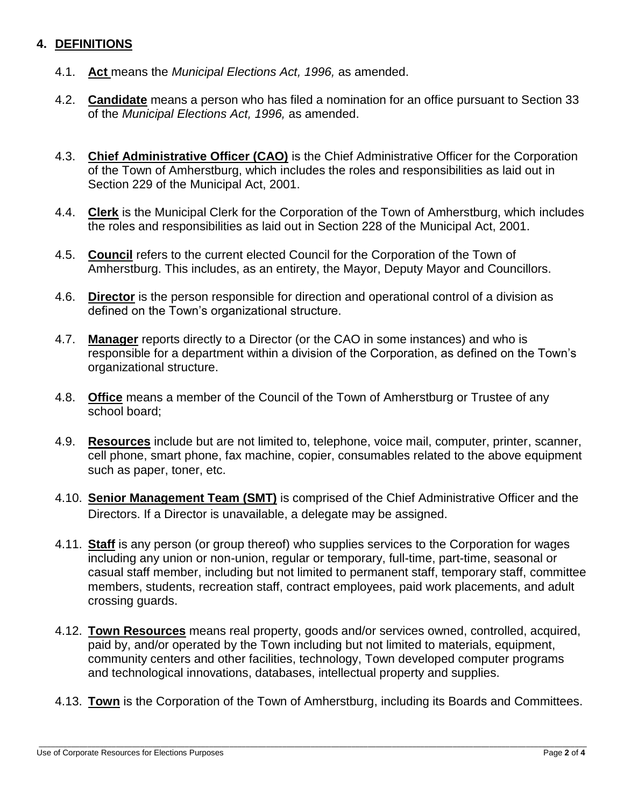### **4. DEFINITIONS**

- 4.1. **Act** means the *Municipal Elections Act, 1996,* as amended.
- 4.2. **Candidate** means a person who has filed a nomination for an office pursuant to Section 33 of the *Municipal Elections Act, 1996,* as amended.
- 4.3. **Chief Administrative Officer (CAO)** is the Chief Administrative Officer for the Corporation of the Town of Amherstburg, which includes the roles and responsibilities as laid out in Section 229 of the Municipal Act, 2001.
- 4.4. **Clerk** is the Municipal Clerk for the Corporation of the Town of Amherstburg, which includes the roles and responsibilities as laid out in Section 228 of the Municipal Act, 2001.
- 4.5. **Council** refers to the current elected Council for the Corporation of the Town of Amherstburg. This includes, as an entirety, the Mayor, Deputy Mayor and Councillors.
- 4.6. **Director** is the person responsible for direction and operational control of a division as defined on the Town's organizational structure.
- 4.7. **Manager** reports directly to a Director (or the CAO in some instances) and who is responsible for a department within a division of the Corporation, as defined on the Town's organizational structure.
- 4.8. **Office** means a member of the Council of the Town of Amherstburg or Trustee of any school board;
- 4.9. **Resources** include but are not limited to, telephone, voice mail, computer, printer, scanner, cell phone, smart phone, fax machine, copier, consumables related to the above equipment such as paper, toner, etc.
- 4.10. **Senior Management Team (SMT)** is comprised of the Chief Administrative Officer and the Directors. If a Director is unavailable, a delegate may be assigned.
- 4.11. **Staff** is any person (or group thereof) who supplies services to the Corporation for wages including any union or non-union, regular or temporary, full-time, part-time, seasonal or casual staff member, including but not limited to permanent staff, temporary staff, committee members, students, recreation staff, contract employees, paid work placements, and adult crossing guards.
- 4.12. **Town Resources** means real property, goods and/or services owned, controlled, acquired, paid by, and/or operated by the Town including but not limited to materials, equipment, community centers and other facilities, technology, Town developed computer programs and technological innovations, databases, intellectual property and supplies.
- 4.13. **Town** is the Corporation of the Town of Amherstburg, including its Boards and Committees.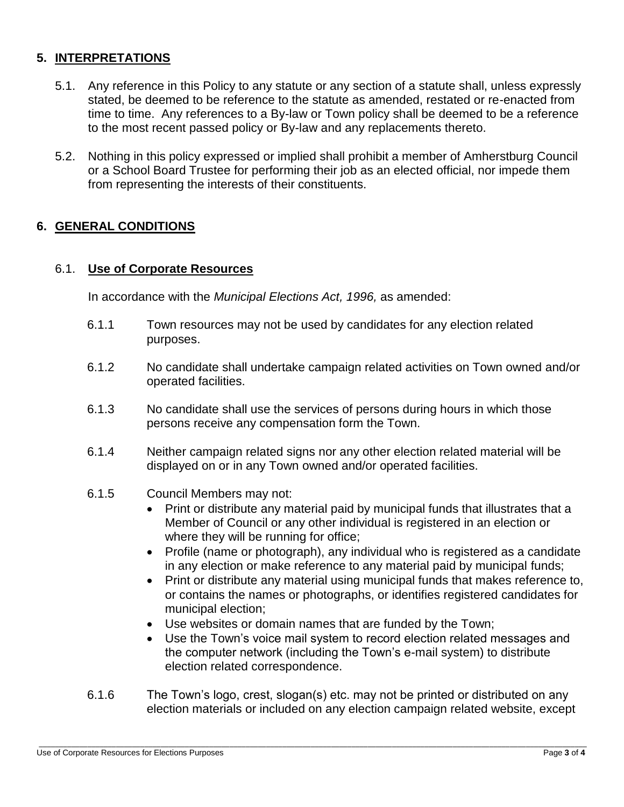## **5. INTERPRETATIONS**

- 5.1. Any reference in this Policy to any statute or any section of a statute shall, unless expressly stated, be deemed to be reference to the statute as amended, restated or re-enacted from time to time. Any references to a By-law or Town policy shall be deemed to be a reference to the most recent passed policy or By-law and any replacements thereto.
- 5.2. Nothing in this policy expressed or implied shall prohibit a member of Amherstburg Council or a School Board Trustee for performing their job as an elected official, nor impede them from representing the interests of their constituents.

### **6. GENERAL CONDITIONS**

#### 6.1. **Use of Corporate Resources**

In accordance with the *Municipal Elections Act, 1996,* as amended:

- 6.1.1 Town resources may not be used by candidates for any election related purposes.
- 6.1.2 No candidate shall undertake campaign related activities on Town owned and/or operated facilities.
- 6.1.3 No candidate shall use the services of persons during hours in which those persons receive any compensation form the Town.
- 6.1.4 Neither campaign related signs nor any other election related material will be displayed on or in any Town owned and/or operated facilities.
- 6.1.5 Council Members may not:
	- Print or distribute any material paid by municipal funds that illustrates that a Member of Council or any other individual is registered in an election or where they will be running for office;
	- Profile (name or photograph), any individual who is registered as a candidate in any election or make reference to any material paid by municipal funds;
	- Print or distribute any material using municipal funds that makes reference to, or contains the names or photographs, or identifies registered candidates for municipal election;
	- Use websites or domain names that are funded by the Town;
	- Use the Town's voice mail system to record election related messages and the computer network (including the Town's e-mail system) to distribute election related correspondence.
- 6.1.6 The Town's logo, crest, slogan(s) etc. may not be printed or distributed on any election materials or included on any election campaign related website, except